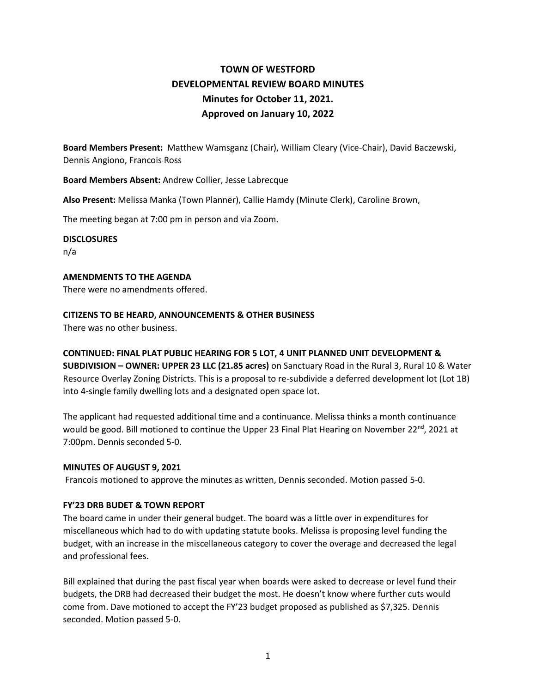# **TOWN OF WESTFORD DEVELOPMENTAL REVIEW BOARD MINUTES Minutes for October 11, 2021. Approved on January 10, 2022**

**Board Members Present:** Matthew Wamsganz (Chair), William Cleary (Vice-Chair), David Baczewski, Dennis Angiono, Francois Ross

**Board Members Absent:** Andrew Collier, Jesse Labrecque

**Also Present:** Melissa Manka (Town Planner), Callie Hamdy (Minute Clerk), Caroline Brown,

The meeting began at 7:00 pm in person and via Zoom.

#### **DISCLOSURES**

n/a

### **AMENDMENTS TO THE AGENDA**

There were no amendments offered.

## **CITIZENS TO BE HEARD, ANNOUNCEMENTS & OTHER BUSINESS**

There was no other business.

# **CONTINUED: FINAL PLAT PUBLIC HEARING FOR 5 LOT, 4 UNIT PLANNED UNIT DEVELOPMENT &**

**SUBDIVISION – OWNER: UPPER 23 LLC (21.85 acres)** on Sanctuary Road in the Rural 3, Rural 10 & Water Resource Overlay Zoning Districts. This is a proposal to re-subdivide a deferred development lot (Lot 1B) into 4-single family dwelling lots and a designated open space lot.

The applicant had requested additional time and a continuance. Melissa thinks a month continuance would be good. Bill motioned to continue the Upper 23 Final Plat Hearing on November 22<sup>nd</sup>, 2021 at 7:00pm. Dennis seconded 5-0.

#### **MINUTES OF AUGUST 9, 2021**

Francois motioned to approve the minutes as written, Dennis seconded. Motion passed 5-0.

# **FY'23 DRB BUDET & TOWN REPORT**

The board came in under their general budget. The board was a little over in expenditures for miscellaneous which had to do with updating statute books. Melissa is proposing level funding the budget, with an increase in the miscellaneous category to cover the overage and decreased the legal and professional fees.

Bill explained that during the past fiscal year when boards were asked to decrease or level fund their budgets, the DRB had decreased their budget the most. He doesn't know where further cuts would come from. Dave motioned to accept the FY'23 budget proposed as published as \$7,325. Dennis seconded. Motion passed 5-0.